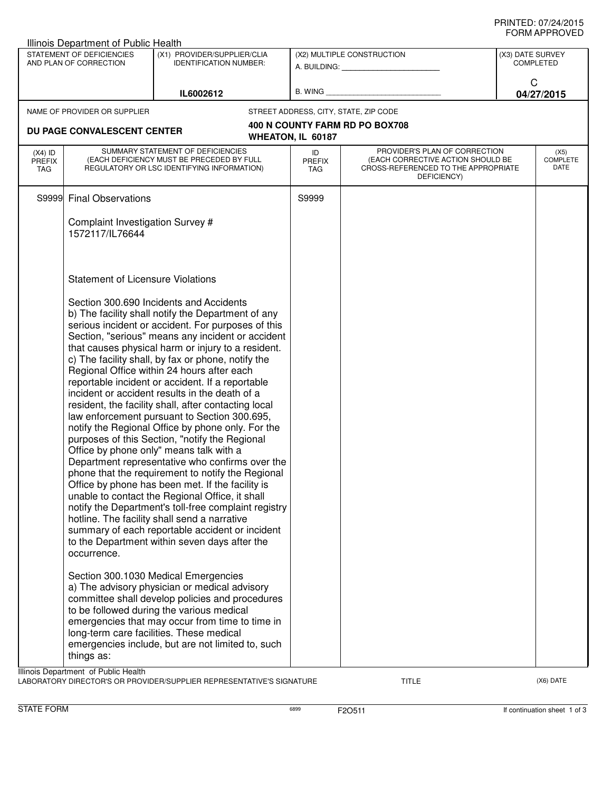| Illinois Department of Public Health                |                                                                                                                                                                                                                                                                                                                                                                                                                                                                                                                                                                                                                                                                                                                                                                                                                                                                                                                                                                                                                                                                                                                                                                              |                                                                                                                                                                                                                                                                                                                                           |                                                                                                                                              |                                                                                                                          |                                      |  |  |
|-----------------------------------------------------|------------------------------------------------------------------------------------------------------------------------------------------------------------------------------------------------------------------------------------------------------------------------------------------------------------------------------------------------------------------------------------------------------------------------------------------------------------------------------------------------------------------------------------------------------------------------------------------------------------------------------------------------------------------------------------------------------------------------------------------------------------------------------------------------------------------------------------------------------------------------------------------------------------------------------------------------------------------------------------------------------------------------------------------------------------------------------------------------------------------------------------------------------------------------------|-------------------------------------------------------------------------------------------------------------------------------------------------------------------------------------------------------------------------------------------------------------------------------------------------------------------------------------------|----------------------------------------------------------------------------------------------------------------------------------------------|--------------------------------------------------------------------------------------------------------------------------|--------------------------------------|--|--|
| STATEMENT OF DEFICIENCIES<br>AND PLAN OF CORRECTION |                                                                                                                                                                                                                                                                                                                                                                                                                                                                                                                                                                                                                                                                                                                                                                                                                                                                                                                                                                                                                                                                                                                                                                              | (X1) PROVIDER/SUPPLIER/CLIA<br><b>IDENTIFICATION NUMBER:</b>                                                                                                                                                                                                                                                                              | (X2) MULTIPLE CONSTRUCTION<br>A. BUILDING: A SALE AND THE SALE AND THE SALE AND THE SALE AND THE SALE AND THE SALE AND THE SALE AND THE SALE |                                                                                                                          | (X3) DATE SURVEY<br><b>COMPLETED</b> |  |  |
| IL6002612                                           |                                                                                                                                                                                                                                                                                                                                                                                                                                                                                                                                                                                                                                                                                                                                                                                                                                                                                                                                                                                                                                                                                                                                                                              | B. WING                                                                                                                                                                                                                                                                                                                                   |                                                                                                                                              | C<br>04/27/2015                                                                                                          |                                      |  |  |
|                                                     | NAME OF PROVIDER OR SUPPLIER                                                                                                                                                                                                                                                                                                                                                                                                                                                                                                                                                                                                                                                                                                                                                                                                                                                                                                                                                                                                                                                                                                                                                 |                                                                                                                                                                                                                                                                                                                                           |                                                                                                                                              | STREET ADDRESS, CITY, STATE, ZIP CODE                                                                                    |                                      |  |  |
|                                                     | DU PAGE CONVALESCENT CENTER                                                                                                                                                                                                                                                                                                                                                                                                                                                                                                                                                                                                                                                                                                                                                                                                                                                                                                                                                                                                                                                                                                                                                  |                                                                                                                                                                                                                                                                                                                                           | WHEATON, IL 60187                                                                                                                            | <b>400 N COUNTY FARM RD PO BOX708</b>                                                                                    |                                      |  |  |
| $(X4)$ ID<br><b>PREFIX</b><br>TAG                   | SUMMARY STATEMENT OF DEFICIENCIES<br>(EACH DEFICIENCY MUST BE PRECEDED BY FULL<br>REGULATORY OR LSC IDENTIFYING INFORMATION)                                                                                                                                                                                                                                                                                                                                                                                                                                                                                                                                                                                                                                                                                                                                                                                                                                                                                                                                                                                                                                                 |                                                                                                                                                                                                                                                                                                                                           | ID<br><b>PREFIX</b><br><b>TAG</b>                                                                                                            | PROVIDER'S PLAN OF CORRECTION<br>(EACH CORRECTIVE ACTION SHOULD BE<br>CROSS-REFERENCED TO THE APPROPRIATE<br>DEFICIENCY) |                                      |  |  |
|                                                     | S9999 Final Observations                                                                                                                                                                                                                                                                                                                                                                                                                                                                                                                                                                                                                                                                                                                                                                                                                                                                                                                                                                                                                                                                                                                                                     |                                                                                                                                                                                                                                                                                                                                           | S9999                                                                                                                                        |                                                                                                                          |                                      |  |  |
|                                                     | Complaint Investigation Survey #<br>1572117/IL76644                                                                                                                                                                                                                                                                                                                                                                                                                                                                                                                                                                                                                                                                                                                                                                                                                                                                                                                                                                                                                                                                                                                          |                                                                                                                                                                                                                                                                                                                                           |                                                                                                                                              |                                                                                                                          |                                      |  |  |
|                                                     | <b>Statement of Licensure Violations</b>                                                                                                                                                                                                                                                                                                                                                                                                                                                                                                                                                                                                                                                                                                                                                                                                                                                                                                                                                                                                                                                                                                                                     |                                                                                                                                                                                                                                                                                                                                           |                                                                                                                                              |                                                                                                                          |                                      |  |  |
|                                                     | Section 300,690 Incidents and Accidents<br>b) The facility shall notify the Department of any<br>serious incident or accident. For purposes of this<br>Section, "serious" means any incident or accident<br>that causes physical harm or injury to a resident.<br>c) The facility shall, by fax or phone, notify the<br>Regional Office within 24 hours after each<br>reportable incident or accident. If a reportable<br>incident or accident results in the death of a<br>resident, the facility shall, after contacting local<br>law enforcement pursuant to Section 300.695,<br>notify the Regional Office by phone only. For the<br>purposes of this Section, "notify the Regional<br>Office by phone only" means talk with a<br>Department representative who confirms over the<br>phone that the requirement to notify the Regional<br>Office by phone has been met. If the facility is<br>unable to contact the Regional Office, it shall<br>notify the Department's toll-free complaint registry<br>hotline. The facility shall send a narrative<br>summary of each reportable accident or incident<br>to the Department within seven days after the<br>occurrence. |                                                                                                                                                                                                                                                                                                                                           |                                                                                                                                              |                                                                                                                          |                                      |  |  |
|                                                     | things as:                                                                                                                                                                                                                                                                                                                                                                                                                                                                                                                                                                                                                                                                                                                                                                                                                                                                                                                                                                                                                                                                                                                                                                   | Section 300.1030 Medical Emergencies<br>a) The advisory physician or medical advisory<br>committee shall develop policies and procedures<br>to be followed during the various medical<br>emergencies that may occur from time to time in<br>long-term care facilities. These medical<br>emergencies include, but are not limited to, such |                                                                                                                                              |                                                                                                                          |                                      |  |  |
|                                                     | Illinois Department of Public Health                                                                                                                                                                                                                                                                                                                                                                                                                                                                                                                                                                                                                                                                                                                                                                                                                                                                                                                                                                                                                                                                                                                                         |                                                                                                                                                                                                                                                                                                                                           |                                                                                                                                              |                                                                                                                          |                                      |  |  |

LABORATORY DIRECTOR'S OR PROVIDER/SUPPLIER REPRESENTATIVE'S SIGNATURE TITLE TITLE THE TITLE (X6) DATE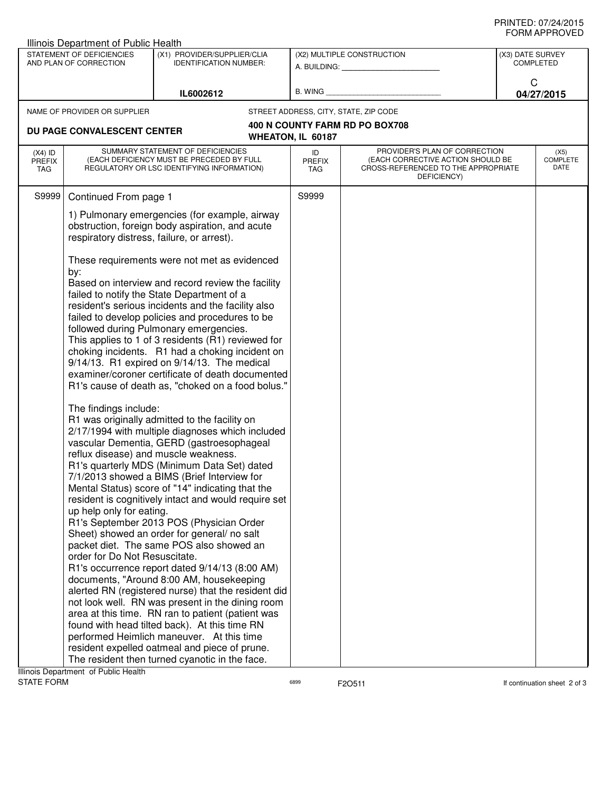| Illinois Department of Public Health                |                                                                                                                                                                                                                                                                                                                                                                                                                                                                                                                                                                                                                                                                                                                                                                                                                                                                                                                                                                                                                                                                                                                                                                                                                                                                                                                                                                                                                                                                                                                                                                                                                          |                                                              |                                                         |                                                                                                                          |                                      |  |
|-----------------------------------------------------|--------------------------------------------------------------------------------------------------------------------------------------------------------------------------------------------------------------------------------------------------------------------------------------------------------------------------------------------------------------------------------------------------------------------------------------------------------------------------------------------------------------------------------------------------------------------------------------------------------------------------------------------------------------------------------------------------------------------------------------------------------------------------------------------------------------------------------------------------------------------------------------------------------------------------------------------------------------------------------------------------------------------------------------------------------------------------------------------------------------------------------------------------------------------------------------------------------------------------------------------------------------------------------------------------------------------------------------------------------------------------------------------------------------------------------------------------------------------------------------------------------------------------------------------------------------------------------------------------------------------------|--------------------------------------------------------------|---------------------------------------------------------|--------------------------------------------------------------------------------------------------------------------------|--------------------------------------|--|
| STATEMENT OF DEFICIENCIES<br>AND PLAN OF CORRECTION |                                                                                                                                                                                                                                                                                                                                                                                                                                                                                                                                                                                                                                                                                                                                                                                                                                                                                                                                                                                                                                                                                                                                                                                                                                                                                                                                                                                                                                                                                                                                                                                                                          | (X1) PROVIDER/SUPPLIER/CLIA<br><b>IDENTIFICATION NUMBER:</b> | (X2) MULTIPLE CONSTRUCTION<br>A. BUILDING: A. BUILDING: |                                                                                                                          | (X3) DATE SURVEY<br><b>COMPLETED</b> |  |
| IL6002612                                           |                                                                                                                                                                                                                                                                                                                                                                                                                                                                                                                                                                                                                                                                                                                                                                                                                                                                                                                                                                                                                                                                                                                                                                                                                                                                                                                                                                                                                                                                                                                                                                                                                          | B. WING                                                      |                                                         | C<br>04/27/2015                                                                                                          |                                      |  |
|                                                     | NAME OF PROVIDER OR SUPPLIER                                                                                                                                                                                                                                                                                                                                                                                                                                                                                                                                                                                                                                                                                                                                                                                                                                                                                                                                                                                                                                                                                                                                                                                                                                                                                                                                                                                                                                                                                                                                                                                             |                                                              |                                                         | STREET ADDRESS, CITY, STATE, ZIP CODE                                                                                    |                                      |  |
|                                                     | DU PAGE CONVALESCENT CENTER                                                                                                                                                                                                                                                                                                                                                                                                                                                                                                                                                                                                                                                                                                                                                                                                                                                                                                                                                                                                                                                                                                                                                                                                                                                                                                                                                                                                                                                                                                                                                                                              |                                                              | WHEATON, IL 60187                                       | 400 N COUNTY FARM RD PO BOX708                                                                                           |                                      |  |
| $(X4)$ ID<br><b>PREFIX</b><br>TAG                   | SUMMARY STATEMENT OF DEFICIENCIES<br>(EACH DEFICIENCY MUST BE PRECEDED BY FULL<br>REGULATORY OR LSC IDENTIFYING INFORMATION)                                                                                                                                                                                                                                                                                                                                                                                                                                                                                                                                                                                                                                                                                                                                                                                                                                                                                                                                                                                                                                                                                                                                                                                                                                                                                                                                                                                                                                                                                             |                                                              | ID<br><b>PREFIX</b><br>TAG                              | PROVIDER'S PLAN OF CORRECTION<br>(EACH CORRECTIVE ACTION SHOULD BE<br>CROSS-REFERENCED TO THE APPROPRIATE<br>DEFICIENCY) | (X5)<br><b>COMPLETE</b><br>DATE      |  |
| S9999                                               | Continued From page 1                                                                                                                                                                                                                                                                                                                                                                                                                                                                                                                                                                                                                                                                                                                                                                                                                                                                                                                                                                                                                                                                                                                                                                                                                                                                                                                                                                                                                                                                                                                                                                                                    |                                                              | S9999                                                   |                                                                                                                          |                                      |  |
|                                                     | 1) Pulmonary emergencies (for example, airway<br>obstruction, foreign body aspiration, and acute<br>respiratory distress, failure, or arrest).                                                                                                                                                                                                                                                                                                                                                                                                                                                                                                                                                                                                                                                                                                                                                                                                                                                                                                                                                                                                                                                                                                                                                                                                                                                                                                                                                                                                                                                                           |                                                              |                                                         |                                                                                                                          |                                      |  |
|                                                     | These requirements were not met as evidenced<br>by:<br>Based on interview and record review the facility<br>failed to notify the State Department of a<br>resident's serious incidents and the facility also<br>failed to develop policies and procedures to be<br>followed during Pulmonary emergencies.<br>This applies to 1 of 3 residents (R1) reviewed for<br>choking incidents. R1 had a choking incident on<br>9/14/13. R1 expired on 9/14/13. The medical<br>examiner/coroner certificate of death documented<br>R1's cause of death as, "choked on a food bolus."<br>The findings include:<br>R1 was originally admitted to the facility on<br>2/17/1994 with multiple diagnoses which included<br>vascular Dementia, GERD (gastroesophageal<br>reflux disease) and muscle weakness.<br>R1's quarterly MDS (Minimum Data Set) dated<br>7/1/2013 showed a BIMS (Brief Interview for<br>Mental Status) score of "14" indicating that the<br>resident is cognitively intact and would require set<br>up help only for eating.<br>R1's September 2013 POS (Physician Order<br>Sheet) showed an order for general/ no salt<br>packet diet. The same POS also showed an<br>order for Do Not Resuscitate.<br>R1's occurrence report dated 9/14/13 (8:00 AM)<br>documents, "Around 8:00 AM, housekeeping<br>alerted RN (registered nurse) that the resident did<br>not look well. RN was present in the dining room<br>area at this time. RN ran to patient (patient was<br>found with head tilted back). At this time RN<br>performed Heimlich maneuver. At this time<br>resident expelled oatmeal and piece of prune. |                                                              |                                                         |                                                                                                                          |                                      |  |

Illinois Department of Public Health<br>STATE FORM